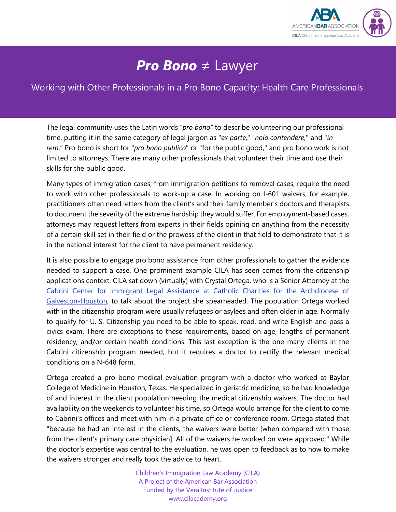

## *Pro Bono* ≠ Lawyer

## Working with Other Professionals in a Pro Bono Capacity: Health Care Professionals

The legal community uses the Latin words "*pro bono"* to describe volunteering our professional time, putting it in the same category of legal jargon as "*ex parte*," "*nolo contendere*," and "*in rem*." Pro bono is short for "*pro bono publico*" or "for the public good," and pro bono work is not limited to attorneys. There are many other professionals that volunteer their time and use their skills for the public good.

Many types of immigration cases, from immigration petitions to removal cases, require the need to work with other professionals to work-up a case. In working on I-601 waivers, for example, practitioners often need letters from the client's and their family member's doctors and therapists to document the severity of the extreme hardship they would suffer. For employment-based cases, attorneys may request letters from experts in their fields opining on anything from the necessity of a certain skill set in their field or the prowess of the client in that field to demonstrate that it is in the national interest for the client to have permanent residency.

It is also possible to engage pro bono assistance from other professionals to gather the evidence needed to support a case. One prominent example CILA has seen comes from the citizenship applications context. CILA sat down (virtually) with Crystal Ortega, who is a Senior Attorney at the [Cabrini Center for Immigrant Legal Assistance at Catholic Charities for the Archdiocese of](https://catholiccharities.org/supporting-refugees-immigrants/st-frances-cabrini-center-for-immigration-legal-assistance/)  [Galveston-Houston,](https://catholiccharities.org/supporting-refugees-immigrants/st-frances-cabrini-center-for-immigration-legal-assistance/) to talk about the project she spearheaded. The population Ortega worked with in the citizenship program were usually refugees or asylees and often older in age. Normally to qualify for U. S. Citizenship you need to be able to speak, read, and write English and pass a civics exam. There are exceptions to these requirements, based on age, lengths of permanent residency, and/or certain health conditions. This last exception is the one many clients in the Cabrini citizenship program needed, but it requires a doctor to certify the relevant medical conditions on a N-648 form.

Ortega created a pro bono medical evaluation program with a doctor who worked at Baylor College of Medicine in Houston, Texas. He specialized in geriatric medicine, so he had knowledge of and interest in the client population needing the medical citizenship waivers. The doctor had availability on the weekends to volunteer his time, so Ortega would arrange for the client to come to Cabrini's offices and meet with him in a private office or conference room. Ortega stated that "because he had an interest in the clients, the waivers were better [when compared with those from the client's primary care physician]. All of the waivers he worked on were approved." While the doctor's expertise was central to the evaluation, he was open to feedback as to how to make the waivers stronger and really took the advice to heart.

> Children's Immigration Law Academy (CILA) A Project of the American Bar Association Funded by the Vera Institute of Justice www.cilacademy.org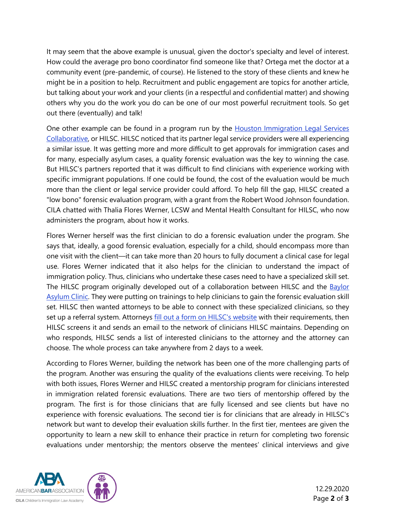It may seem that the above example is unusual, given the doctor's specialty and level of interest. How could the average pro bono coordinator find someone like that? Ortega met the doctor at a community event (pre-pandemic, of course). He listened to the story of these clients and knew he might be in a position to help. Recruitment and public engagement are topics for another article, but talking about your work and your clients (in a respectful and confidential matter) and showing others why you do the work you do can be one of our most powerful recruitment tools. So get out there (eventually) and talk!

One other example can be found in a program run by the **Houston Immigration Legal Services** [Collaborative,](https://www.houstonimmigration.org/) or HILSC. HILSC noticed that its partner legal service providers were all experiencing a similar issue. It was getting more and more difficult to get approvals for immigration cases and for many, especially asylum cases, a quality forensic evaluation was the key to winning the case. But HILSC's partners reported that it was difficult to find clinicians with experience working with specific immigrant populations. If one could be found, the cost of the evaluation would be much more than the client or legal service provider could afford. To help fill the gap, HILSC created a "low bono" forensic evaluation program, with a grant from the Robert Wood Johnson foundation. CILA chatted with Thalia Flores Werner, LCSW and Mental Health Consultant for HILSC, who now administers the program, about how it works.

Flores Werner herself was the first clinician to do a forensic evaluation under the program. She says that, ideally, a good forensic evaluation, especially for a child, should encompass more than one visit with the client—it can take more than 20 hours to fully document a clinical case for legal use. Flores Werner indicated that it also helps for the clinician to understand the impact of immigration policy. Thus, clinicians who undertake these cases need to have a specialized skill set. The HILSC program originally developed out of a collaboration between HILSC and the **Baylor** [Asylum Clinic.](https://bcmfamily.bcm.edu/2019/09/05/medical-students-launch-human-rights-and-asylum-clinic/) They were putting on trainings to help clinicians to gain the forensic evaluation skill set. HILSC then wanted attorneys to be able to connect with these specialized clinicians, so they set up a referral system. Attorneys [fill out a form on HILSC's website](https://www.houstonimmigration.org/projects/forensicevaluations/) with their requirements, then HILSC screens it and sends an email to the network of clinicians HILSC maintains. Depending on who responds, HILSC sends a list of interested clinicians to the attorney and the attorney can choose. The whole process can take anywhere from 2 days to a week.

According to Flores Werner, building the network has been one of the more challenging parts of the program. Another was ensuring the quality of the evaluations clients were receiving. To help with both issues, Flores Werner and HILSC created a mentorship program for clinicians interested in immigration related forensic evaluations. There are two tiers of mentorship offered by the program. The first is for those clinicians that are fully licensed and see clients but have no experience with forensic evaluations. The second tier is for clinicians that are already in HILSC's network but want to develop their evaluation skills further. In the first tier, mentees are given the opportunity to learn a new skill to enhance their practice in return for completing two forensic evaluations under mentorship; the mentors observe the mentees' clinical interviews and give